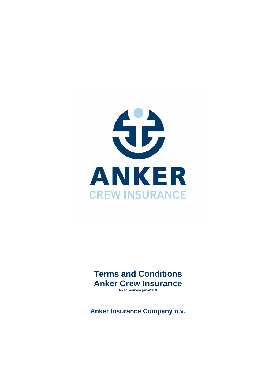

**Terms and Conditions Anker Crew Insurance tc-aci-eur-en jan-2019** 

**Anker Insurance Company n.v.**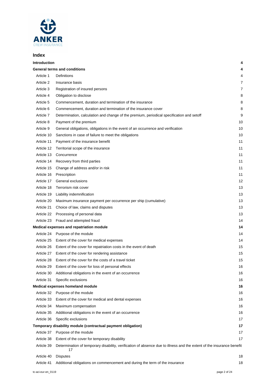

## **Index**

| <b>Introduction</b> |                                                                                                                             | 4  |
|---------------------|-----------------------------------------------------------------------------------------------------------------------------|----|
|                     | <b>General terms and conditions</b>                                                                                         | 4  |
| Article 1           | Definitions                                                                                                                 | 4  |
| Article 2           | Insurance basis                                                                                                             | 7  |
| Article 3           | Registration of insured persons                                                                                             | 7  |
| Article 4           | Obligation to disclose                                                                                                      | 8  |
| Article 5           | Commencement, duration and termination of the insurance                                                                     | 8  |
| Article 6           | Commencement, duration and termination of the insurance cover                                                               | 8  |
| Article 7           | Determination, calculation and change of the premium, periodical specification and setoff                                   | 9  |
| Article 8           | Payment of the premium                                                                                                      | 10 |
| Article 9           | General obligations, obligations in the event of an occurrence and verification                                             | 10 |
| Article 10          | Sanctions in case of failure to meet the obligations                                                                        | 10 |
| Article 11          | Payment of the insurance benefit                                                                                            | 11 |
| Article 12          | Territorial scope of the insurance                                                                                          | 11 |
| Article 13          | Concurrence                                                                                                                 | 11 |
| Article 14          | Recovery from third parties                                                                                                 | 11 |
| Article 15          | Change of address and/or in risk                                                                                            | 11 |
| Article 16          | Prescription                                                                                                                | 11 |
| Article 17          | General exclusions                                                                                                          | 12 |
| Article 18          | Terrorism risk cover                                                                                                        | 13 |
| Article 19          | Liability indemnification                                                                                                   | 13 |
| Article 20          | Maximum insurance payment per occurrence per ship (cumulative)                                                              | 13 |
| Article 21          | Choice of law, claims and disputes                                                                                          | 13 |
| Article 22          | Processing of personal data                                                                                                 | 13 |
| Article 23          | Fraud and attempted fraud                                                                                                   | 14 |
|                     | Medical expenses and repatriation module                                                                                    | 14 |
| Article 24          | Purpose of the module                                                                                                       | 14 |
| Article 25          | Extent of the cover for medical expenses                                                                                    | 14 |
| Article 26          | Extent of the cover for repatriation costs in the event of death                                                            | 15 |
| Article 27          | Extent of the cover for rendering assistance                                                                                | 15 |
| Article 28          | Extent of the cover for the costs of a travel ticket                                                                        | 15 |
| Article 29          | Extent of the cover for loss of personal effects                                                                            | 16 |
| Article 30          | Additional obligations in the event of an occurrence                                                                        | 16 |
| Article 31          | Specific exclusions                                                                                                         | 16 |
|                     | Medical expenses homeland module                                                                                            | 16 |
| Article 32          | Purpose of the module                                                                                                       | 16 |
| Article 33          | Extent of the cover for medical and dental expenses                                                                         | 16 |
| Article 34          | Maximum compensation                                                                                                        | 16 |
| Article 35          | Additional obligations in the event of an occurrence                                                                        | 16 |
| Article 36          | Specific exclusions                                                                                                         | 17 |
|                     | Temporary disability module (contractual payment obligation)                                                                | 17 |
| Article 37          | Purpose of the module                                                                                                       | 17 |
| Article 38          | Extent of the cover for temporary disability                                                                                | 17 |
| Article 39          | Determination of temporary disability, verification of absence due to illness and the extent of the insurance benefit<br>17 |    |
| Article 40          | <b>Disputes</b>                                                                                                             | 18 |
| Article 41          | Additional obligations on commencement and during the term of the insurance                                                 | 18 |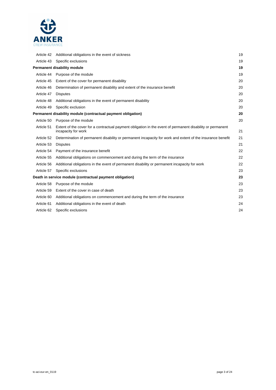

| Article 42                                                   | Additional obligations in the event of sickness                                                                                   | 19 |
|--------------------------------------------------------------|-----------------------------------------------------------------------------------------------------------------------------------|----|
| Article 43                                                   | Specific exclusions                                                                                                               | 19 |
| Permanent disability module                                  |                                                                                                                                   | 19 |
| Article 44                                                   | Purpose of the module                                                                                                             | 19 |
| Article 45                                                   | Extent of the cover for permanent disability                                                                                      | 20 |
| Article 46                                                   | Determination of permanent disability and extent of the insurance benefit                                                         | 20 |
| Article 47                                                   | <b>Disputes</b>                                                                                                                   | 20 |
| Article 48                                                   | Additional obligations in the event of permanent disability                                                                       | 20 |
| Article 49                                                   | Specific exclusion                                                                                                                | 20 |
| Permanent disability module (contractual payment obligation) |                                                                                                                                   | 20 |
| Article 50                                                   | Purpose of the module                                                                                                             | 20 |
| Article 51                                                   | Extent of the cover for a contractual payment obligation in the event of permanent disability or permanent<br>incapacity for work | 21 |
| Article 52                                                   | Determination of permanent disability or permanent incapacity for work and extent of the insurance benefit                        | 21 |
| Article 53                                                   | <b>Disputes</b>                                                                                                                   | 21 |
| Article 54                                                   | Payment of the insurance benefit                                                                                                  | 22 |
| Article 55                                                   | Additional obligations on commencement and during the term of the insurance                                                       | 22 |
| Article 56                                                   | Additional obligations in the event of permanent disability or permanent incapacity for work                                      | 22 |
| Article 57                                                   | Specific exclusions                                                                                                               | 23 |
|                                                              | Death in service module (contractual payment obligation)                                                                          | 23 |
| Article 58                                                   | Purpose of the module                                                                                                             | 23 |
| Article 59                                                   | Extent of the cover in case of death                                                                                              | 23 |
| Article 60                                                   | Additional obligations on commencement and during the term of the insurance                                                       | 23 |
| Article 61                                                   | Additional obligations in the event of death                                                                                      | 24 |
| Article 62                                                   | Specific exclusions                                                                                                               | 24 |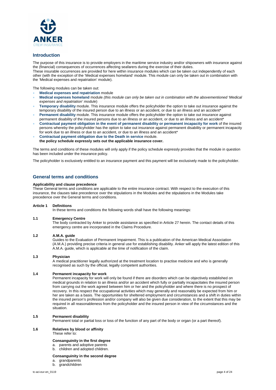

#### **Introduction**

The purpose of this insurance is to provide employers in the maritime service industry and/or shipowners with insurance against the (financial) consequences of occurrences affecting seafarers during the exercise of their duties.

These insurable occurrences are provided for here within insurance modules which can be taken out independently of each other (with the exception of the 'Medical expenses homeland' module. This module can only be taken out in combination with the 'Medical expenses and repatriation' module).

The following modules can be taken out:

- **Medical expenses and repatriation** module
- **Medical expenses homeland** module *(this module can only be taken out in combination with the abovementioned 'Medical expenses and repatriation' module*)
- **Temporary disability** module. This insurance module offers the policyholder the option to take out insurance against the temporary disability of the insured person due to an illness or an accident, or due to an illness and an accident\*
- **Permanent disability** module. This insurance module offers the policyholder the option to take out insurance against permanent disability of the insured persons due to an illness or an accident, or due to an illness and an accident\*
- **Contractual payment obligation in the event of permanent disability or permanent incapacity for work** of the insured persons whereby the policyholder has the option to take out insurance against permanent disability or permanent incapacity for work due to an illness or due to an accident, or due to an illness and an accident\*
- **Contractual payment obligation due to the Death in service** module. **the policy schedule expressly sets out the applicable insurance cover.**

The terms and conditions of these modules will only apply if the policy schedule expressly provides that the module in question has been included under the insurance policy.

The policyholder is exclusively entitled to an insurance payment and this payment will be exclusively made to the policyholder.

## **General terms and conditions**

#### **Applicability and clause precedence**

These General terms and conditions are applicable to the entire insurance contract. With respect to the execution of this insurance, the clauses take precedence over the stipulations in the Modules and the stipulations in the Modules take precedence over the General terms and conditions.

#### **Article 1 Definitions**

In these terms and conditions the following words shall have the following meanings:

#### **1.1 Emergency Centre**

The body contracted by Anker to provide assistance as specified in Article 27 herein. The contact details of this emergency centre are incorporated in the Claims Procedure.

#### **1.2 A.M.A. guide**

Guides to the Evaluation of Permanent Impairment. This is a publication of the American Medical Association (A.M.A.) providing precise criteria in general use for establishing disability. Anker will apply the latest edition of this A.M.A. guide, which is applicable at the time of notification of the claim.

#### **1.3 Physician**

A medical practitioner legally authorized at the treatment location to practise medicine and who is generally recognised as such by the official, legally competent authorities.

#### **1.4 Permanent incapacity for work**

Permanent incapacity for work will only be found if there are disorders which can be objectively established on medical grounds in relation to an illness and/or an accident which fully or partially incapacitates the insured person from carrying out the work agreed between him or her and the policyholder and where there is no prospect of recovery. In this respect the occupational activities which may generally and reasonably be expected from him or her are taken as a basis. The opportunities for sheltered employment and circumstances and a shift in duties within the insured person's profession and/or company will also be given due consideration, to the extent that this may be required in all reasonableness from the policyholder and the insured person in view of the circumstances and the situation.

#### **1.5 Permanent disability**

Permanent total or partial loss or loss of the function of any part of the body or organ (or a part thereof).

### **1.6 Relatives by blood or affinity**

These refer to:

### **Consanguinity in the first degree**

a. parents and adoptive parents

## b. children and adopted children.

#### **Consanguinity in the second degree**

- a. grandparents
- b. grandchildren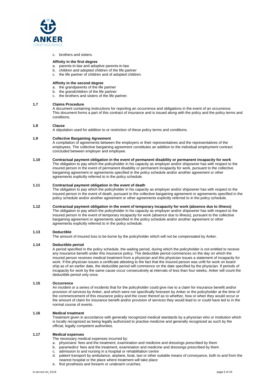

#### c. brothers and sisters.

#### **Affinity in the first degree**

- a. parents-in-law and adoptive parents-in-law
- b. children and adopted children of the life partner
- c. the life partner of children and of adopted children.

#### **Affinity in the second degree**

- a. the grandparents of the life partner
- b. the grandchildren of the life partner
- c. the brothers and sisters of the life partner.

#### **1.7 Claims Procedure**

A document containing instructions for reporting an occurrence and obligations in the event of an occurrence. This document forms a part of this contract of insurance and is issued along with the policy and the policy terms and conditions.

#### **1.8 Clause**

A stipulation used for addition to or restriction of these policy terms and conditions.

#### **1.9 Collective Bargaining Agreement**

A compilation of agreements between the employers or their representatives and the representatives of the employees. The collective bargaining agreement constitutes an addition to the individual employment contract concluded between employer and employee.

#### **1.10 Contractual payment obligation in the event of permanent disability or permanent incapacity for work**

The obligation to pay which the policyholder in his capacity as employer and/or shipowner has with respect to the insured person in the event of permanent disability or permanent incapacity for work, pursuant to the collective bargaining agreement or agreements specified in the policy schedule and/or another agreement or other agreements explicitly referred to in the policy schedule.

#### **1.11 Contractual payment obligation in the event of death**

The obligation to pay which the policyholder in his capacity as employer and/or shipowner has with respect to the insured person in the event of death, pursuant to the collective bargaining agreement or agreements specified in the policy schedule and/or another agreement or other agreements explicitly referred to in the policy schedule.

#### **1.12 Contractual payment obligation in the event of temporary incapacity for work (absence due to illness)**  The obligation to pay which the policyholder in his capacity as employer and/or shipowner has with respect to the insured person in the event of temporary incapacity for work (absence due to illness), pursuant to the collective bargaining agreement or agreements specified in the policy schedule and/or another agreement or other agreements explicitly referred to in the policy schedule.

#### **1.13 Deductible**

The amount of insured loss to be borne by the policyholder which will not be compensated by Anker.

#### **1.14 Deductible period**

A period specified in the policy schedule, the waiting period, during which the policyholder is not entitled to receive any insurance benefit under this insurance policy. The deductible period commences on the day on which the insured person receives medical treatment from a physician and this physician issues a statement of incapacity for work. If the physician issues a certificate attesting to the fact that the insured person was unfit for work on board ship as of an earlier date, the deductible period will commence on the date specified by the physician. If periods of incapacity for work by the same cause occur consecutively at intervals of less than four weeks, Anker will count the deductible period only once.

#### **1.15 Occurrence**

An incident or a series of incidents that for the policyholder could give rise to a claim for insurance benefit and/or provision of services by Anker, and which were not specifically foreseen by Anker or the policyholder at the time of the commencement of this insurance policy and the cover thereof as to whether, how or when they would occur or the amount of claim for insurance benefit and/or provision of services they would lead to or could have led to in the normal course of events.

#### **1.16 Medical treatment**

Treatment given in accordance with generally recognized medical standards by a physician who or institution which is locally recognized as being legally authorized to practise medicine and generally recognized as such by the official, legally competent authorities.

#### **1.17 Medical expenses**

The necessary medical expenses incurred by:

- a. physicians' fees and the treatment, examination and medicine and dressings prescribed by them
- b. paramedics' fees and the treatment, examination and medicine and dressings prescribed by them
- c. admission to and nursing in a hospital or rehabilitation centre
- d. patient transport by ambulance, airplane, boat, taxi or other suitable means of conveyance, both to and from the nearest hospital or the place where treatment will take place
- e. first prosthesis and forearm or underarm crutches.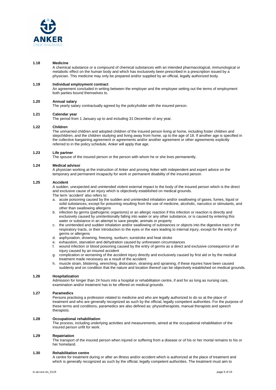

#### **1.18 Medicine**

A chemical substance or a compound of chemical substances with an intended pharmacological, immunological or metabolic effect on the human body and which has exclusively been prescribed in a prescription issued by a physician. This medicine may only be prepared and/or supplied by an official, legally authorized body.

#### **1.19 Individual employment contract**

An agreement concluded in writing between the employer and the employee setting out the terms of employment both parties bound themselves to.

#### **1.20 Annual salary**

The yearly salary contractually agreed by the policyholder with the insured person.

## **1.21 Calendar year**

The period from 1 January up to and including 31 December of any year.

#### **1.22 Children**

The unmarried children and adopted children of the insured person living at home, including foster children and stepchildren, and the children studying and living away from home, up to the age of 18. If another age is specified in the collective bargaining agreement or agreements and/or another agreement or other agreements explicitly referred to in the policy schedule, Anker will apply that age.

#### **1.23 Life partner**

The spouse of the insured person or the person with whom he or she lives permanently.

#### **1.24 Medical advisor**

A physician working at the instruction of Anker and proving Anker with independent and expert advice on the temporary and permanent incapacity for work or permanent disability of the insured person.

#### **1.25 Accident**

A sudden, unexpected and unintended violent external impact to the body of the insured person which is the direct and exclusive cause of an injury which is objectively established on medical grounds. The term 'accident' also refers to:

- a. acute poisoning caused by the sudden and unintended inhalation and/or swallowing of gases, fumes, liquid or solid substances, except for poisoning resulting from the use of medicine, alcoholic, narcotics or stimulants, and other than swallowing allergens
- b. infection by germs (pathogenic organisms) or an allergic reaction if this infection or reaction is directly and exclusively caused by unintentionally falling into water or any other substance, or is caused by entering this water or substance in an attempt to save people, animals or property
- c. the unintended and sudden inhalation and/or swallowing of substances or objects into the digestive tract or the respiratory tracts, or their introduction to the eyes or the ears leading to internal injury, except for the entry of germs or allergens
- d. asphyxiation, drowning, freezing, sunburn, sunstroke and heat stroke
- exhaustion, starvation and dehydration caused by unforeseen circumstances
- f. wound infection or blood poisoning caused by the entry of germs as a direct and exclusive consequence of an injury caused by an insured accident
- g. complication or worsening of the accident injury directly and exclusively caused by first aid or by the medical treatment made necessary as a result of the accident
- h. muscle strain, blistering, wrenching, dislocation, straining and spraining, if these injuries have been caused suddenly and on condition that the nature and location thereof can be objectively established on medical grounds.

#### **1.26 Hospitalization**

Admission for longer than 24 hours into a hospital or rehabilitation centre, if and for as long as nursing care, examination and/or treatment has to be offered on medical grounds.

#### **1.27 Paramedics**

Persons practising a profession related to medicine and who are legally authorized to do so at the place of treatment and who are generally recognized as such by the official, legally competent authorities. For the purpose of these terms and conditions, paramedics are also defined as: physiotherapists, manual therapists and speech therapists.

#### **1.28 Occupational rehabilitation**

The process, including underlying activities and measurements, aimed at the occupational rehabilitation of the insured person unfit for work.

#### **1.29 Repatriation**

The transport of the insured person when injured or suffering from a disease or of his or her mortal remains to his or her homeland.

#### **1.30 Rehabilitation centre**

A centre for treatment during or after an illness and/or accident which is authorized at the place of treatment and which is generally recognized as such by the official, legally competent authorities. The treatment must aim to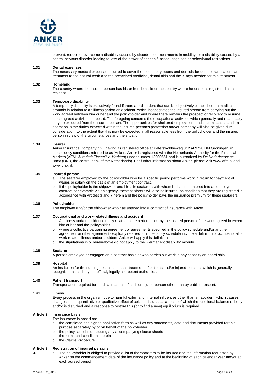

prevent, reduce or overcome a disability caused by disorders or impairments in mobility, or a disability caused by a central nervous disorder leading to loss of the power of speech function, cognition or behavioural restrictions.

#### **1.31 Dental expenses**

The necessary medical expenses incurred to cover the fees of physicians and dentists for dental examinations and treatment to the natural teeth and the prescribed medicine, dental aids and the X-rays needed for this treatment.

#### **1.32 Homeland**

The country where the insured person has his or her domicile or the country where he or she is registered as a resident.

#### **1.33 Temporary disability**

A temporary disability is exclusively found if there are disorders that can be objectively established on medical grounds in relation to an illness and/or an accident, which incapacitates the insured person from carrying out the work agreed between him or her and the policyholder and where there remains the prospect of recovery to resume these agreed activities on board. The foregoing concerns the occupational activities which generally and reasonably may be expected from the insured person. The opportunities for sheltered employment and circumstances and an alteration in the duties expected within the insured person's profession and/or company will also be given due consideration, to the extent that this may be expected in all reasonableness from the policyholder and the insured person in view of the circumstances and the situation.

#### **1.34 Insurer**

Anker Insurance Company n.v., having its registered office at Paterswoldseweg 812 at 9728 BM Groningen, in these policy conditions referred to as 'Anker'. Anker is registered with the Netherlands Authority for the Financial Markets (AFM: *Autoriteit Financiële Markten*) under number 12000661 and is authorized by *De Nederlandsche Bank* (DNB, the central bank of the Netherlands). For further information about Anker, please visit www.afm.nl and www.dnb.nl.

#### **1.35 Insured person**

- a. The seafarer employed by the policyholder who for a specific period performs work in return for payment of wages or salary on the basis of an employment contract.
- b. If the policyholder is the shipowner and hires in seafarers with whom he has not entered into an employment contract, for example via an agency, these seafarers will also be insured, on condition that they are registered in accordance with Articles 3 and 7 herein and the policyholder pays the insurance premium for these seafarers.

#### **1.36 Policyholder**

The employer and/or the shipowner who has entered into a contract of insurance with Anker.

#### **1.37 Occupational and work-related illness and accident**

- An illness and/or accident directly related to the performance by the insured person of the work agreed between him or her and the policyholder
- b. where a collective bargaining agreement or agreements specified in the policy schedule and/or another agreement or other agreements explicitly referred to in the policy schedule include a definition of occupational or work-related illness and/or accident, Anker will apply this definition
- c. the stipulations in b. hereinabove do not apply to the 'Permanent disability' module.

#### **1.38 Seafarer**

A person employed or engaged on a contract basis or who carries out work in any capacity on board ship.

#### **1.39 Hospital**

An institution for the nursing, examination and treatment of patients and/or injured persons, which is generally recognized as such by the official, legally competent authorities.

#### **1.40 Patient transport**

Transportation required for medical reasons of an ill or injured person other than by public transport.

#### **1.41 Illness**

Every process in the organism due to harmful external or internal influences other than an accident, which causes changes in the quantitative or qualitative effect of cells or tissues, as a result of which the functional balance of body and/or is disturbed and a response to restore this (or to find a new) equilibrium is required.

#### **Article 2 Insurance basis**

The insurance is based on:

- a. the completed and signed application form as well as any statements, data and documents provided for this purpose separately by or on behalf of the policyholder
- b. the policy schedule, including any accompanying clause sheets
- c. the terms and conditions herein
- d. the Claims Procedure.

### **Article 3 Registration of insured persons**

**3.1** a. The policyholder is obliged to provide a list of the seafarers to be insured and the information requested by Anker on the commencement date of the insurance policy and at the beginning of each calendar year and/or at each agreed period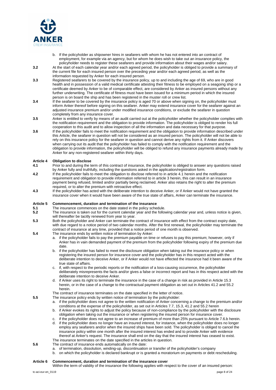

- b. If the policyholder as shipowner hires in seafarers with whom he has not entered into an contract of employment, for example via an agency, but for whom he does wish to take out an insurance policy, the policyholder needs to register these seafarers and provide information about their wages and/or salary.
- **3.2** At the start of each calendar year and/or each agreed period, the policyholder is obliged to provide a summary of the current file for each insured person over the preceding year and/or each agreed period, as well as the information requested by Anker for each insured person.
- **3.3** Registered seafarers to be covered by the insurance policy, up to and including the age of 69, who are in good health and in possession of a valid medical certificate attesting their fitness to be employed on a seagoing ship or a certificate deemed by Anker to be of comparable effect, are considered by Anker as insured persons without any further underwriting. The certificate of fitness must have been issued for a minimum period in which the insured person is on board the ship and has been registered in the muster roll or crew list.
- **3.4** If the seafarer to be covered by the insurance policy is aged 70 or above when signing on, the policyholder must inform Anker thereof before signing on this seafarer. Anker may extend insurance cover for the seafarer against an adjusted insurance premium and/or under modified insurance conditions, or exclude the seafarer in question completely from any insurance cover.
- **3.5** Anker is entitled to verify by means of an audit carried out at the policyholder whether the policyholder complies with the notification requirement and the obligation to provide information. The policyholder is obliged to render his full cooperation to this audit and to allow inspection of all the information and data necessary for that purpose.
- **3.6** If the policyholder fails to meet the notification requirement and the obligation to provide information described under this Article, the seafarer in question will not be considered as an insured person. The policyholder will not be able to rely on this insurance policy for the seafarer in question and cannot derive any rights from it. If Anker discovers when carrying out its audit that the policyholder has failed to comply with the notification requirement and the obligation to provide information, the policyholder will be obliged to refund any insurance payments already made by Anker for any non-registered seafarer within thirty days.

#### **Article 4 Obligation to disclose**

- **4.1** Prior to and during the term of this contract of insurance, the policyholder is obliged to answer any questions raised by Anker fully and truthfully, including the questions asked in the application/registration form.
- **4.2** If the policyholder fails to meet the obligation to disclose referred to in article 4.1 herein and the notification requirement and obligation to provide information referred to in article 3 herein, this can result in an insurance payment being refused, limited and/or partially being reclaimed. Anker also retains the right to alter the premium required, or to alter the premium with retroactive effect.
- **4.3** If the policyholder has acted with the deliberate intention to deceive Anker, or if Anker would not have granted the insurance cover when it would have been aware of the true state of affairs, Anker can terminate the insurance.

#### **Article 5 Commencement, duration and termination of the insurance**

- **5.1 5.1 The insurance commences on the date stated in the policy schedule.<br><b>5.2 The insurance is taken out for the current calendar year and the follow**
- **5.2** The insurance is taken out for the current calendar year and the following calendar year and, unless notice is given, will thereafter be tacitly renewed from year to year.
- **5.3** Both the policyholder and Anker can terminate the contract of insurance with effect from the contract expiry date, with due regard to a notice period of two calendar months. After the first renewal, the policyholder may terminate the contract of insurance at any time, provided that a notice period of one month is observed.
- **5.4** The insurance ends by written notice of termination by Anker:
	- a. if the policyholder fails to pay the premium payable on time or refuses to pay this premium; however, only if Anker has in vain demanded payment of the premium from the policyholder following expiry of the premium due date.
	- b. if the policyholder has failed to meet the disclosure obligation when taking out the insurance policy or when registering the insured person for insurance cover and the policyholder has in this respect acted with the deliberate intention to deceive Anker, or if Anker would not have effected the insurance had it been aware of the true state of affairs.
	- c. if, with respect to the periodic reports or the notification of a loss-causing occurrence, the policyholder deliberately misrepresents the facts and/or gives a false or incorrect report and has in this respect acted with the deliberate intention to deceive Anker.
	- d. if Anker uses its right to terminate the insurance in the case of a change in risk as provided in Article 15.3 herein, or in the case of a change to the contractual payment obligation as set out in Articles 41.2 and 55.2 herein.
	- The contract of insurance terminates on the date specified in the letter of notice.
- **5.5** The insurance policy ends by written notice of termination by the policyholder:
	- a. if the policyholder does not agree to the written notification of Anker concerning a change to the premium and/or conditions at the expense of the policyholder, as set out in Articles 7.7, 15.3, 41.2 and 55.2 herein
	- b. if Anker evokes its rights to adjust the policy because of non-compliance by the policyholder with the disclosure obligation when taking out the insurance or when registering the insured person for insurance cover.
	- c. if the policyholder does not agree to an increase of premium of more than 25% pursuant to Article 7.6.b herein.
	- d. if the policyholder does no longer have an insured interest, for instance, when the policyholder does no longer employ any seafarers and/or when the insured ships have been sold. The policyholder is obliged to cancel the insurance policy within one month after the insured interest has ended and to provide Anker with evidence thereof at Anker's request. The insurance shall end on the day that the insured interest has ceased to exist. The insurance terminates on the date specified in the articles in question.
- **5.6** The contract of insurance ends automatically on the date:
	- a. of termination, dissolution, winding-up, discontinuation or transfer of the policyholder's company
	- b. on which the policyholder is declared bankrupt or is granted a moratorium on payments or debt rescheduling.

## **Article 6 Commencement, duration and termination of the insurance cover**

Within the term of validity of the insurance the following applies with respect to the cover of an insured person: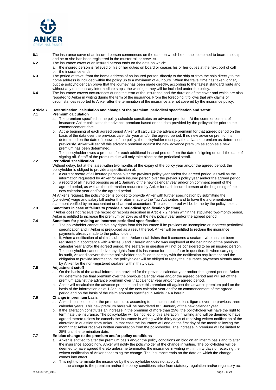

- **6.1** The insurance cover of an insured person commences on the date on which he or she is deemed to board the ship and he or she has been registered in the muster roll or crew list.
- **6.2** The insurance cover of an insured person ends on the date on which:
	- a. the insured person is relieved of his or her duties on board or ceases his or her duties at the next port of call b. the insurance ends.
- **6.3** The period of travel from the home address of an insured person directly to the ship or from the ship directly to the home address is included within the policy up to a maximum of 48 hours. When the travel time has taken longer, but the policyholder can prove that the journey has been made directly, according to the fastest standard route and without any unnecessary intermediate stops, the whole journey will be included under the policy.
- **6.4** The insurance covers occurrences during the term of the insurance and the duration of the cover and which are also reported to Anker in writing during the term of the insurance. From the foregoing it follows that any claims or circumstances reported to Anker after the termination of the insurance are not covered by the insurance policy.

#### **Article 7 Determination, calculation and change of the premium, periodical specification and setoff 7.1 Premium calculation**

- a. The premium specified in the policy schedule constitutes an advance premium. At the commencement of insurance Anker calculates the advance premium based on the data provided by the policyholder prior to the commencement date.
- b. At the beginning of each agreed period Anker will calculate the advance premium for that agreed period on the basis of the data over the previous calendar year and/or the agreed period. If no new advance premium is determined on the date of renewal of the policy, the policyholder must pay the advance premium as determined previously. Anker will set off this advance premium against the new advance premium as soon as a new premium has been determined.
- c. The policyholder owes a premium for each additional insured person from the date of signing on until the date of signing off. Setoff of the premium due will only take place at the periodical setoff.

#### **7.2 Periodical specification**

Without delay, but at the latest within two months of the expiry of the policy year and/or the agreed period, the policyholder is obliged to provide a specification of:

- a. a current record of all insured persons over the previous policy year and/or the agreed period, as well as the information requested by Anker for each insured person over the previous policy year and/or the agreed period
- b. a record of all insured persons as at 1 January of the new calendar year and/or on commencement of the agreed period, as well as the information requested by Anker for each insured person at the beginning of the new calendar year and/or the agreed period.

At Anker's request, the policyholder is obliged to provide Anker with further specification by submitting the (collective) wage and salary bill and/or the return made to the Tax Authorities and to have the aforementioned statement verified by an accountant or chartered accountant. The costs thereof will be borne by the policyholder.

### **7.3 Sanctions in case of failure to provide a periodical specification (in time)**

If Anker does not receive the record or records described in Article 7.2 herein within the stipulated two-month period, Anker is entitled to increase the premium by 25% as of the new policy year and/or the agreed period.

## **7.4 Sanctions for providing an incorrect periodical specification**

- a. The policyholder cannot derive any rights from this insurance if he provides an incomplete or incorrect periodical specification and if Anker is prejudiced as a result thereof. Anker will be entitled to reclaim the insurance payments already made to the policyholder.
- b. If, when a notification of claim is submitted, Anker establishes that it concerns a seafarer who has not been registered in accordance with Articles 3 and 7 herein and who was employed at the beginning of the previous calendar year and/or the agreed period, the seafarer in question will not be considered to be an insured person. The policyholder cannot derive any rights from this insurance for the seafarer in question. If, when carrying out its audit, Anker discovers that the policyholder has failed to comply with the notification requirement and the obligation to provide information, the policyholder will be obliged to repay the insurance payments already made by Anker for the non-registered seafarer within thirty days.

### **7.5 Adjustment setoff**

- a. On the basis of the actual information provided for the previous calendar year and/or the agreed period, Anker will determine the final premium over the previous calendar year and/or the agreed period and will set off the premium against the advance premium over that calendar year and/or the agreed period.
- b. Anker will recalculate the advance premium and set this premium off against the advance premium paid on the basis of the information as at 1 January of the new calendar year and/or on commencement of the agreed period and on the basis of the claim amounts specified in Article 7.6.a herein.

### **7.6 Change in premium basis**

- a. Anker is entitled to alter the premium basis according to the actual realised loss figures over the previous three calendar years. This new premium basis will be backdated to 1 January of the new calendar year.
- b. If the alteration constitutes an increase in the premium of more than 25%, the policyholder will have the right to terminate the insurance. The policyholder will be notified of this alteration in writing and will be deemed to have agreed thereto unless he cancels the insurance in writing within thirty days of receiving written notification of the alteration in question from Anker. In that case the insurance will end on the first day of the month following the month that Anker receives written cancellation from the policyholder. The increase in premium will be limited to 25% until the termination date.

## **7.7 En-bloc change to the premium and/or policy conditions**

- a. Anker is entitled to alter the premium basis and/or the policy conditions en bloc on an interim basis and to alter the insurance accordingly. Anker will notify the policyholder of the change in writing. The policyholder will be deemed to have agreed thereto unless he terminates the insurance in writing within thirty days of receiving the written notification of Anker concerning the change. The insurance ends on the date on which the change comes into effect.
- b. This right to terminate the insurance by the policyholder does not apply if:
- the change to the premium and/or the policy conditions arise from statutory regulation and/or regulatory act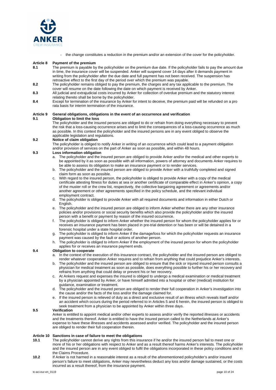

the change constitutes a reduction in the premium and/or an extension of the cover for the policyholder.

#### **Article 8 Payment of the premium**

- **8.1** The premium is payable by the policyholder on the premium due date. If the policyholder fails to pay the amount due in time, the insurance cover will be suspended. Anker will suspend cover 14 days after it demands payment in writing from the policyholder after the due date and full payment has not been received. The suspension has retroactive effect to the first day of the period over which the premium was payable.
- **8.2** The policyholder remains obliged to pay the premium, the charges and any tax applicable to the premium. The cover will resume on the date following the date on which payment is received by Anker.
- **8.3** All judicial and extrajudicial costs incurred by Anker for collection of overdue premium and the statutory interest relating thereto shall be borne by the policyholder.
- **8.4** Except for termination of the insurance by Anker for intent to deceive, the premium paid will be refunded on a pro rata basis for interim termination of the insurance.

## **Article 9 General obligations, obligations in the event of an occurrence and verification**

## **9.1 Obligation to limit the loss**

The policyholder and the insured persons are obliged to do or refrain from doing everything necessary to prevent the risk that a loss-causing occurrence arises and to limit the consequences of a loss-causing occurrence as much as possible. In this context the policyholder and the insured persons are in any event obliged to observe the applicable legislation and regulations.

### **9.2 Notice of claim obligation**

The policyholder is obliged to notify Anker in writing of an occurrence which could lead to a payment obligation and/or provision of services on the part of Anker as soon as possible, and within 48 hours.

#### **9.3 Loss information obligation**

- a. The policyholder and the insured person are obliged to provide Anker and/or the medical and other experts to be appointed by it as soon as possible with all information, powers of attorney and documents Anker requires to be able to assess its obligation to make an insurance payment or to render services.
- b. The policyholder and the insured person are obliged to provide Anker with a truthfully completed and signed claim form as soon as possible.
- c. With regard to the insured person, the policyholder is obliged to provide Anker with a copy of the medical certificate attesting fitness for duties at sea or another certificate of comparable effect in Anker's opinion, a copy of the muster roll or the crew list, respectively, the collective bargaining agreement or agreements and/or another agreement or other agreements specified in the policy schedule, and the relevant individual employment contract.
- d. The policyholder is obliged to provide Anker with all required documents and information in either Dutch or English.
- e. The policyholder and the insured person are obliged to inform Anker whether there are any other insurance policies and/or provisions or social security benefits which also provide the policyholder and/or the insured person with a benefit or payment by reason of the insured occurrence.
- f. The policyholder is obliged to inform Anker whether the insured person for whom the policyholder applies for or receives an insurance payment has been placed in pre-trial detention or has been or will be detained in a forensic hospital under a state hospital order.
- g. The policyholder is obliged to inform Anker if the damage/loss for which the policyholder requests an insurance payment was caused by the fault or actions of another person.
- h. The policyholder is obliged to inform Anker if the employment of the insured person for whom the policyholder applies for or receives an insurance payment ends.

### **9.4 Obligation to cooperate**

- a. In the context of the execution of this insurance contract, the policyholder and the insured person are obliged to render whatever cooperation Anker requires and to refrain from anything that could prejudice Anker's interests.
- b. The policyholder and the insured person are obliged to ensure that the sick or injured insured person consults a physician for medical treatment as soon as possible, does everything possible to further his or her recovery and refrains from anything that could delay or prevent his or her recovery.
- c. At Ankers request and expenses the insured is obliged to undergo a medical examination or medical treatment by a physician appointed by Anker, or have himself admitted into a hospital or other (medical) institution for guidance, examination or treatment.
- d. The policyholder and the insured person are obliged to render their full cooperation in Anker's investigation into the cause and/or the facts of the loss and/or the damage claimed for.
- e. If the insured person is relieved of duty as a direct and exclusive result of an illness which reveals itself and/or an accident which occurs during the period referred to in Articles 5 and 6 herein, the insured person is obliged to seek treatment from a physician to be appointed by Anker within three days.

#### **9.5 Verification**

Anker is entitled to appoint medical and/or other experts to assess and/or verify the reported illnesses or accidents and the treatments thereof. Anker is entitled to have the insured person called to the Netherlands at Anker's expense to have these illnesses and accidents assessed and/or verified. The policyholder and the insured person are obliged to render their full cooperation therein.

#### **Article 10 Sanctions in case of failure to meet the obligations**

- **10.1** The policyholder cannot derive any rights from this insurance if he and/or the insured person fail to meet one or more of his or her obligations with respect to Anker and as a result thereof harms Anker's interests. The policyholder and the insured person are in any event obliged to fulfil the obligations incorporated in these policy conditions and in the Claims Procedure.
- **10.2** If Anker is not harmed in a reasonable interest as a result of the aforementioned policyholder's and/or insured person's failure to meet obligations, Anker may nevertheless deduct any loss and/or damage sustained, or the costs incurred as a result thereof, from the insurance payment.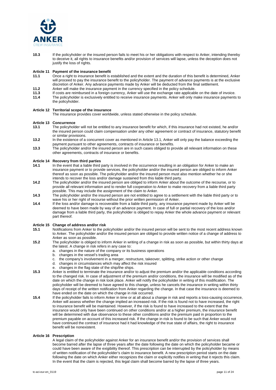

**10.3** If the policyholder or the insured person fails to meet his or her obligations with respect to Anker, intending thereby to deceive it, all rights to insurance benefits and/or provision of services will lapse, unless the deception does not justify the loss of rights.

## **Article 11 Payment of the insurance benefit**

- **11.1** Once a right to insurance benefit is established and the extent and the duration of this benefit is determined, Anker will proceed to pay the insurance benefit to the policyholder. The payment of advance payments is at the exclusive discretion of Anker. Any advance payments made by Anker will be deducted from the final settlement.
- **11.2** Anker will make the insurance payment in the currency specified in the policy schedule.
- **11.3** If costs are reimbursed in a foreign currency, Anker will use the exchange rate applicable on the date of invoice.
- **11.4** The policyholder is exclusively entitled to receive insurance payments. Anker will only make insurance payments to the policyholder.

#### **Article 12 Territorial scope of the insurance**

The insurance provides cover worldwide, unless stated otherwise in the policy schedule.

#### **Article 13 Concurrence**

- **13.1** The policyholder will not be entitled to any insurance benefit for which, if this insurance had not existed, he and/or the insured person could claim compensation under any other agreement or contract of insurance, statutory benefit or similar provisions.
- **13.2** In the existence of a concurrent cover as mentioned in Article 13.1, Anker will only pay the balance exceeding the payment pursuant to other agreements, contracts of insurance or benefits.
- **13.3** The policyholder and/or the insured person are in such cases obliged to provide all relevant information on these other agreements, contracts of insurance or benefits.

#### **Article 14 Recovery from third parties**

- **14.1** In the event that a liable third party is involved in the occurrence resulting in an obligation for Anker to make an insurance payment or to provide services, the policyholder and/or the insured person are obliged to inform Anker thereof as soon as possible. The policyholder and/or the insured person must also mention whether he or she intends to recover the loss and/or damage sustained from this liable third party.
- **14.2** The policyholder and/or the insured person are obliged to inform Anker about the outcome of the recourse, or to provide all relevant information and to render full cooperation to Anker to make recovery from a liable third party possible. This may include the assignment of the claim to Anker.
- **14.3** The policyholder and/or the insured person are not entitled to agree to a settlement with the liable third party or to wave his or her right of recourse without the prior written permission of Anker.
- **14.4** If the loss and/or damage is recoverable from a liable third party, any insurance payment made by Anker will be deemed to have been made by way of an advance payment. In case of full or partial recovery of the loss and/or damage from a liable third party, the policyholder is obliged to repay Anker the whole advance payment or relevant part thereof.

#### **Article 15 Change of address and/or risk**

- **15.1** Notifications from Anker to the policyholder and/or the insured person will be sent to the most recent address known to Anker. The policyholder and/or the insured person are obliged to provide written notice of a change of address to Anker as soon as possible.
- **15.2** The policyholder is obliged to inform Anker in writing of a change in risk as soon as possible, but within thirty days at the latest. A change in risk refers in any case to:
	- a. changes in the nature of the company or its business operations
	- b. changes in the vessel's trading area
	- c. the company's involvement in a merger, restructure, takeover, splitting, strike action or other change
	- d. changes in circumstances which may affect the risk insured
	- e. changes in the flag state of the ship/the ships.
- **15.3** Anker is entitled to terminate the insurance and/or to adjust the premium and/or the applicable conditions according to the changed risk. In case of adjustment of the premium and/or conditions, the insurance will be modified as of the date on which the change in risk took place. Anker will notify the policyholder in writing of this modification. The policyholder will be deemed to have agreed to this change, unless he cancels the insurance in writing within thirty days of receipt of the written notification from Anker regarding the change. In that case the insurance is deemed to have ended on the date on which the change in risk occurred.
- **15.4** If the policyholder fails to inform Anker in time or at all about a change in risk and reports a loss-causing occurrence, Anker will assess whether the change implied an increased risk. If the risk is found not to have increased, the right to insurance benefit will be maintained. However, if the risk is found to have increased to the extent that the insurance would only have been continued on other conditions and/or at a higher premium, the insurance benefit will be determined with due observance to these other conditions and/or the premium paid in proportion to the premium payable on account of this increased risk. If the change in risk is found to be such that Anker would not have continued the contract of insurance had it had knowledge of the true state of affairs, the right to insurance benefit will be nonexistent.

#### **Article 16 Prescription**

A legal claim of the policyholder against Anker for an insurance benefit and/or the provision of services shall become barred after the lapse of three years after the date following the date on which the policyholder became or could have been aware of the exigibility thereof. This prescription can be interrupted by the policyholder by means of written notification of the policyholder's claim to insurance benefit. A new prescription period starts on the date following the date on which Anker either recognizes the claim or explicitly notifies in writing that it rejects this claim. In the event that the claim is rejected, this legal claim shall become barred by the lapse of three years.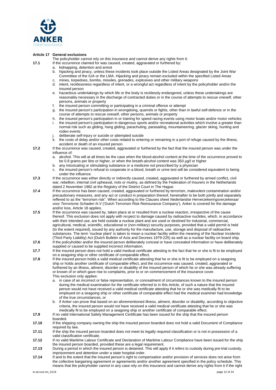

#### **Article 17 General exclusions**

The policyholder cannot rely on this insurance and cannot derive any rights from it:

- **17.1** If the occurrence claimed for was caused, created, aggravated or furthered by:
	- kidnapping, detention and arrest
	- b. hijacking and piracy, unless these incidents took place outside the Listed Areas designated by the Joint War Committee of the IUA or the LMA. Hijacking and piracy remain excluded within the specified Listed Areas c. mines, torpedoes, bombs, missiles, grenades, explosives and other military weapons
	-
	- d. intent, recklessness regardless of intent, or a wrongful act regardless of intent by the policyholder and/or the insured person
	- e. hazardous undertakings by which life or the body is recklessly endangered, unless these undertakings are reasonably necessary in the discharge of contracted duties or in the course of attempts to rescue oneself, other persons, animals or property
	- f. the insured person committing or participating in a criminal offence or attempt
	- g. the insured person's participation in wrongdoing, quarrels or fights, other than in lawful self-defence or in the course of attempts to rescue oneself, other persons, animals or property
	- h. the insured person's participation in or training for speed racing events using motor boats and/or motor vehicles the insured person's participation in dangerous sports and/or recreational activities which involve a greater than normal risk such as gliding, hang gliding, parachuting, parasailing, mountaineering, glacier skiing, hunting and rodeo events
	- deliberate self-injury or suicide or attempted suicide
	- k. the costs of delay and/or other costs related to entering or remaining in a port of refuge caused by the illness, accident or death of an insured person.
- **17.2** If the occurrence was caused, created, aggravated or furthered by the fact that the insured person was under the influence of:
	- a. alcohol. This will at all times be the case when the blood-alcohol content at the time of the occurrence proved to be 0.8 grams per litre or higher, or when the breath-alcohol content was 350 µg/l or higher
	- b. any intoxicating or stimulating substance or a medicine not prescribed by a physician
	- c. the insured person's refusal to cooperate in a blood, breath or urine test will be considered equivalent to being under the influence.
- **17.3** If the occurrence was either directly or indirectly caused, created, aggravated or furthered by armed conflict, civil war, rebellion, internal civil upheaval, riots or mutiny, as defined by the Federation of Insurers in the Netherlands dated 2 November 1982 at the Registry of the District Court in The Hague.
- **17.4** If the occurrence has been caused, created, aggravated or furthered by terrorism, malevolent contamination and/or precautionary measures, and any act or conduct in preparation thereof, hereinafter to be both jointly and separately reffered to as the "terrorism risk". When according to the Clauses sheet *Nederlandse Herverzekeringsverzekeraar voor Terrorisme Schaden N.V* ('Dutch Terrorism Risk Reinsurance Company'), Anker is covered for the damage and/or loss, Article 18 applies.
- **17.5** If the occurrence was caused by, taken place at or resulted from a nuclear reaction, irrespective of the cause thereof. This exclusion does not apply with respect to damage caused by radioactive nuclides, which, in accordance with their intended use, are held outside a nuclear plant and are used or destined for industrial, commercial, agricultural, medical, scientific, educational or (non-military) security purposes, provided that a valid permit is held (to the extent required), issued by any authority for the manufacture, use, storage and disposal of radioactive substances. The term 'nuclear plant' is taken to mean a nuclear facility within the meaning of the Nuclear Incidents (Third Party Liability) Act (Dutch Bulletin of Acts and Decrees 1979-225) as well as a nuclear facility on board ship.
- **17.6** If the policyholder and/or the insured person deliberately conceal or have concealed information or have deliberately supplied or caused to be supplied incorrect information.
- **17.7** If the insured person does not hold a valid medical certificate attesting to the fact that he or she is fit to be employed on a seagoing ship or other certificate of comparable effect.
- **17.8** If the insured person holds a valid medical certificate attesting that he or she is fit to be employed on a seagoing ship or holds another certificate of comparable effect, and the occurrence was caused, created, aggravated or furthered by an illness, ailment, disorder or disability of the insured person of which he or she was already suffering or known of or which gave rise to complaints, prior to or on commencement of the insurance cover. This exclusion only applies:
	- a. in case of an incorrect or false representation, or concealment of circumstances known to the insured person during the medical examination for the certificate referred to in this Article, of such a nature that the insured person would not have received a valid medical certificate attesting that he or she was medically fit to be employed on a seagoing ship or other certificate of comparable effect had the medical examiner had knowledge of the true circumstances, or
	- b. if Anker can prove that based on an aforementioned illness, ailment, disorder or disability, according to objective criteria, the insured person would not have received a valid medical certificate attesting that he or she was medically fit to be employed on a seagoing ship or another certificate of comparable effect.
- **17.9** If no valid International Safety Management Certificate has been issued for the ship that the insured person boarded.
- **17.10** If the shipping company owning the ship the insured person boarded does not hold a valid Document of Compliance required by law.
- **17.11** If the ship the insured person boarded does not meet its legally required classification or is not in possession of a valid classification certificate.
- **17.12** If no valid Maritime Labour Certificate and Declaration of Maritime Labour Compliance have been issued for the ship the insured person boarded, provided these are a legal requirement.
- **17.13** During a period in which the insured person is detained. This will apply if it refers to custody during pre-trial custody, imprisonment and detention under a state hospital order.
- **17.14** If and to the extent that the insured person's right to compensation and/or provision of services does not arise from the collective bargaining agreement or agreements and/or another agreement specified in the policy schedule. This means that the policyholder cannot in any case rely on this insurance and cannot derive any rights from it if the right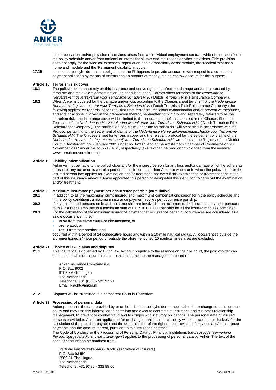

to compensation and/or provision of services arises from an individual employment contract which is not specified in the policy schedule and/or from national or international laws and regulations or other provisions. This provision does not apply for the 'Medical expenses, repatriation and extraordinary costs' module, the 'Medical expenses homeland' module and the 'Permanent disability' module.

**17.15** In case the policyholder has an obligation at the Philippines to provide assurance with respect to a contractual payment obligation by means of transferring an amount of money into an escrow account for this purpose.

## **Article 18 Terrorism risk cover**

- **18.1** The policyholder cannot rely on this insurance and derive rights therefrom for damage and/or loss caused by terrorism and malevolent contamination, as described in the Clauses sheet terrorism of the *Nederlandse Herverzekeringsverzekeraar voor Terrorisme Schaden N.V.* ('Dutch Terrorism Risk Reinsurance Company').
- **18.2** When Anker is covered for the damage and/or loss according to the Clauses sheet terrorism of the *Nederlandse Herverzekeringsverzekeraar voor Terrorisme Schaden N.V.* ('Dutch Terrorism Risk Reinsurance Company') the following applies: As regards losses resulting from terrorism, malicious contamination and/or preventive measures, and acts or actions involved in the preparation thereof, hereinafter both jointly and separately referred to as the 'terrorism risk', the insurance cover will be limited to the insurance benefit as specified in the Clauses Sheet for Terrorism of the *Nederlandse Herverzekeringsverzekeraar voor Terrorisme Schaden N.V.* ('Dutch Terrorism Risk Reinsurance Company'). The notification of a claim under the terrorism risk will be settled in accordance with the Protocol pertaining to the settlement of claims of the *Nederlandse Herverzekeringsmaatschappij voor Terrorisme Schaden N.V.* The Clauses Sheet for terrorism cover and the relevant protocol for the settlement of claims of the *Nederlandse Herverzekeringsmaatschappij voor Terrorisme Schaden N.V.* were filed at the Registry of the District Court in Amsterdam on 6 January 2005 under no. 6/2005 and at the Amsterdam Chamber of Commerce on 23 November 2007 under file no. 27178761, respectively (this text can be read or downloaded from the website: www.terrorismeverzekerd.nl).

#### **Article 19 Liability indemnification**

Anker will not be liable to the policyholder and/or the insured person for any loss and/or damage which he suffers as a result of any act or omission of a person or institution other than Anker to whom or to which the policyholder or the insured person has applied for examination and/or treatment, not even if this examination or treatment constitutes part of this insurance and/or if Anker appointed this person or designated this institution to carry out the examination and/or treatment.

## **Article 20 Maximum insurance payment per occurrence per ship (cumulative)**

- **20.1** In addition to all the (maximum) sums insured and (maximum) compensations specified in the policy schedule and in the policy conditions, a maximum insurance payment applies per occurrence per ship.
- **20.2** If several insured persons on board the same ship are involved in an occurrence, the insurance payment pursuant to this insurance amounts to a maximum sum of EUR 10,000,000 per ship for all the insured modules combined.
- **20.3** For the calculation of the maximum insurance payment per occurrence per ship, occurrences are considered as a single occurrence if they:
	- arise from the same cause or circumstance, or
	- are related, or
	- result from one another, and

occurred within a period of 24 consecutive hours and within a 10-mile nautical radius. All occurrences outside the aforementioned 24-hour period or outside the aforementioned 10 nautical miles area are excluded.

#### **Article 21 Choice of law, claims and disputes**

**21.1** This insurance is governed by Dutch law. Without prejudice to the reliance on the civil court, the policyholder can submit complains or disputes related to this insurance to the management board of:

> Anker Insurance Company n.v. P.O. Box 8002 9702 KA Groningen The Netherlands Telephone: +31 (0)50 - 520 97 91 Email: klacht@anker.nl

**21.2** Disputes will be submitted to a competent Court in Rotterdam.

#### **Article 22 Processing of personal data**

Anker processes the data provided by or on behalf of the policyholder on application for or change to an insurance policy and may use this information to enter into and execute contracts of insurance and customer relationship management, to prevent or combat fraud and to comply with statutory obligations. The personal data of insured persons provided to Anker on application for or change to this insurance policy will be processed exclusively for the calculation of the premium payable and the determination of the right to the provision of services and/or insurance payments and the amount thereof, pursuant to this insurance contract.

The Code of Conduct for the Processing of Personal Data by Financial Institutions (*gedragscode 'Verwerking Persoonsgegevens Financiële Instellingen'*) applies to the processing of personal data by Anker. The text of the code of conduct can be obtained from:

*Verbond van Verzekeraars* (Dutch Association of Insurers) P.O. Box 93450 2509 AL The Hague The Netherlands Telephone: +31 (0)70 - 333 85 00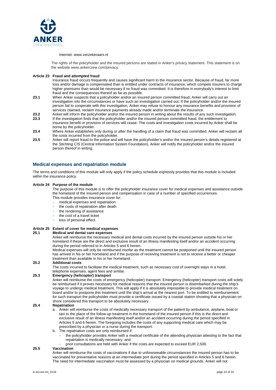

#### Internet: www.verzekeraars.nl

The rights of the policyholder and the insured persons are stated in Anker's privacy statement. This statement is on the website www.ankercrew.com/privacy.

#### **Article 23 Fraud and attempted fraud**

Insurance fraud occurs frequently and causes significant harm to the insurance sector. Because of fraud, far more loss and/or damage is compensated than is entitled under contracts of insurance, which compels insurers to charge higher premiums than would be necessary if no fraud was committed. It is therefore in everybody's interest to limit fraud and the consequences thereof as far as possible.

- **23.1** When Anker suspects that a policyholder and/or an insured person committed fraud, Anker will carry out an investigation into the circumstances or have such an investigation carried out. If the policyholder and/or the insured person fail to cooperate with this investigation, Anker may refuse to honour any insurance benefits and provision of services claimed, reclaim insurance payments already made and/or terminate the insurance.
- **23.2** Anker will inform the policyholder and/or the insured person in writing about the results of any such investigation.<br>**23.3** If the investigation finds that the policyholder and/or the insured person committed fraud,
- **23.3** If the investigation finds that the policyholder and/or the insured person committed fraud, the entitlement to insurance benefit or provision of services will cease. The costs and investigation costs incurred by Anker shall be borne by the policyholder.
- **23.4** Where Anker establishes only during or after the handling of a claim that fraud was committed, Anker will reclaim all the costs incurred from the policyholder.
- **23.5** Anker will report fraud to the police and will have the policyholder's and/or the insured person's details registered at the *Stichting CIS* (Central Information System Foundation). Anker will notify the policyholder and/or the insured person thereof in writing.

## **Medical expenses and repatriation module**

The terms and conditions of this module will only apply if the policy schedule expressly provides that this module is included within the insurance policy.

#### **Article 24 Purpose of the module**

The purpose of this module is to offer the policyholder insurance cover for medical expenses and assistance outside the homeland of the insured person and compensation in case of a number of specified occurrences. This module provides insurance cover for:

- medical expenses and repatriation
- 
- the costs of repatriation after death
- the rendering of assistance
- the cost of a travel ticket

## loss of personal effect.

## **Article 25 Extent of cover for medical expenses**

## **25.1 Medical and dental care expenses**

Anker will reimburse the necessary medical and dental costs incurred by the insured person outside his or her homeland if these are the direct and exclusive result of an illness manifesting itself and/or an accident occurring during the period referred to in Articles 5 and 6 herein.

Medical expenses will only be reimbursed insofar as the treatment cannot be postponed until the insured person has arrived in his or her homeland and if the purpose of receiving treatment is not to receive a better or cheaper treatment than available in his or her homeland.

#### **25.2 Additional costs**

The costs incurred to facilitate the medical treatment, such as necessary cost of overnight stays in a hotel, telephone expenses, agent fees and similar.

#### **25.3 Emergency (helicopter) transport**

Anker will reimburse the costs of emergency (helicopter) transport. Emergency (helicopter) transport costs will solely be reimbursed if it proves necessary for medical reasons that the insured person is disembarked during the ship's voyage to undergo medical treatment. This will apply if it is absolutely impossible to provide medical treatment on board and/or to postpone this treatment until the ship's arrival at the nearest port. To be entitled to reimbursement for such transport the policyholder must provide a certificate issued by a coastal station showing that a physician on shore considered this transport to be absolutely necessary.

#### **25.4 Repatriation**

- a. Anker will reimburse the costs of medically necessary transport of the patient by ambulance, airplane, boat or taxi to the place of the follow-up treatment in the homeland of the insured person if this is the direct and exclusive result of an illness manifesting itself and/or an accident occurring during the period specified in Articles 5 and 6 herein. The foregoing includes the costs of any supporting medical care which may be prescribed by a physician or a nurse during the transport.
- b. The repatriation costs are only reimbursed if:
	- the policyholder provides Anker with a medical certificate of the attending physician attesting to the fact that repatriation is medically necessary, and
		- prior consultations are held with Anker if the costs are expected to exceed EUR 2,500.

### **25.5 Vaccination**

Anker will reimburse the costs of vaccinations if due to unforeseeable circumstances the insured person has to be vaccinated for preventative reasons at an intermediate port during the period specified in Articles 5 and 6 herein. The need for intermediate vaccination must be assessed by a physician on medical grounds. Anker will not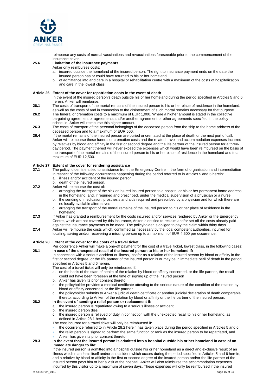

reimburse any costs of normal vaccinations and revaccinations foreseeable prior to the commencement of the insurance cover.

#### **25.6 Limitation of the insurance payments**

Anker only reimburses costs:

- a. incurred outside the homeland of the insured person. The right to insurance payment ends on the date the insured person has or could have returned to his or her homeland.
- b. of admittance into and care in a hospital or rehabilitation centre with a maximum of the costs of hospitalization and care in the lowest class.

#### **Article 26 Extent of the cover for repatriation costs in the event of death**

In the event of the insured person's death outside his or her homeland during the period specified in Articles 5 and 6 herein, Anker will reimburse:

- **26.1** The costs of transport of the mortal remains of the insured person to his or her place of residence in the homeland, as well as the costs of and in connection to the disinterment of such mortal remains necessary for that purpose.
- **26.2** The funeral or cremation costs to a maximum of EUR 1,000. Where a higher amount is stated in the collective bargaining agreement or agreements and/or another agreement or other agreements specified in the policy schedule, Anker will reimburse this higher amount.
- **26.3** The costs of transport of the personal belongings of the deceased person from the ship to the home address of the deceased person and to a maximum of EUR 500.
- **26.4** If the mortal remains of the insured person are buried or cremated at the place of death or the next port of call, Anker will reimburse these funeral or cremation costs and the related travel and accommodation expenses incurred by relatives by blood and affinity in the first or second degree and the life partner of the insured person for a threeday period. The payment thereof will never exceed the expenses which would have been reimbursed on the basis of the transport of the mortal remains of the insured person to his or her place of residence in the homeland and to a maximum of EUR 12,500.

## **Article 27 Extent of the cover for rendering assistance**

- **27.1** The policyholder is entitled to assistance from the Emergency Centre in the form of organisation and intermediation in respect of the following occurrences happening during the period referred to in Articles 5 and 6 herein:
	- a. illness and/or accident of the insured person b. death of the insured person.
- **27.2** Anker will reimburse the cost of
	- - a. arranging the transport of the sick or injured insured person to a hospital or his or her permanent home address in the homeland, and, if required and prescribed, under the medical supervision of a physician or a nurse
		- b. the sending of medication, prosthesis and aids required and prescribed by a physician and for which there are no locally available alternatives
		- c. arranging the transport of the mortal remains of the insured person to his or her place of residence in the homeland.
- **27.3** If Anker has granted a reimbursement for the costs incurred and/or services rendered by Anker or the Emergency Centre, which are not covered by this insurance, Anker is entitled to reclaim and/or set off the costs already paid against the insurance payments to be made. The policyholder is obliged to pay the claim within thirty days.
- **27.4** Anker will reimburse the costs which, confirmed as necessary by the local competent authorities, incurred for locating, saving and/or recovering a missing person up to a maximum of EUR 4,500 per occurrence.

#### **Article 28 Extent of the cover for the costs of a travel ticket**

Per occurrence Anker will make a one-off payment for the cost of a travel ticket, lowest class, in the following cases: **28.1 In case of the unexpected recall of the insured person to his or her homeland if:** 

In connection with a serious accident or illness, insofar as a relation of the insured person by blood or affinity in the first or second degree, or the life partner of the insured person is or may be in immediate peril of death in the period specified in Articles 5 and 6 herein.

- The cost of a travel ticket will only be reimbursed if:
- a. on the basis of the state of health of the relation by blood or affinity concerned, or the life partner, the recall could not have been foreseen at the time of signing up of the insured person
- b. Anker has given its prior consent thereto
- c. the policyholder provides a medical certificate attesting to the serious nature of the condition of the relation by blood or affinity concerned, or the life partner
- d. the policyholder submits to Anker a judicial death certificate or another judicial declaration of death comparable thereto, according to Anker, of the relation by blood or affinity or the life partner of the insured person.

## **28.2 In the event of sending a relief person or replacement if:**

- a. the insured person is repatriated owing to a serious illness or accident
- b. the insured person dies
- c. the insured person is relieved of duty in connection with the unexpected recall to his or her homeland, as defined in Article 28.1 herein.
- The cost incurred for a travel ticket will only be reimbursed if:
- the occurrence referred to in Article 28.2 herein has taken place during the period specified in Articles 5 and 6
- the relief person is signed to perform the same function or rank as the insured person to be repatriated, and
- Anker has given its prior consent thereto.

#### **28.3 In the event that the insured person is admitted into a hospital outside his or her homeland in case of an immediate danger to life:**

If the insured person is admitted into a hospital outside his or her homeland as a direct and exclusive result of an illness which manifests itself and/or an accident which occurs during the period specified in Articles 5 and 6 herein, and a relative by blood or affinity in the first or second degree of the insured person and/or the life partner of the insured person pays him or her a visit at the hospital. Anker will also reimburse the accommodation expenses incurred by this visitor up to a maximum of seven days. These expenses will only be reimbursed if the insured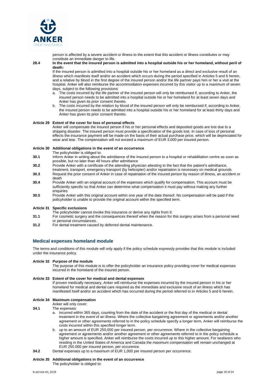

person is affected by a severe accident or illness to the extent that this accident or illness constitutes or may constitute an immediate danger to life.

**28.4 In the event that the insured person is admitted into a hospital outside his or her homeland, without peril of death:** 

If the insured person is admitted into a hospital outside his or her homeland as a direct and exclusive result of an illness which manifests itself and/or an accident which occurs during the period specified in Articles 5 and 6 herein, and a relative by blood in the first degree of the insured person and/or the life partner pays him or her a visit at the hospital. Anker will also reimburse the accommodation expenses incurred by this visitor up to a maximum of seven days, subject to the following provisions:

- a. The costs incurred by the life partner of the insured person will only be reimbursed if, according to Anker, the insured person needs to be admitted into a hospital outside his or her homeland for at least seven days and Anker has given its prior consent thereto.
- b. The costs incurred by the relation by blood of the insured person will only be reimbursed if, according to Anker, the insured person needs to be admitted into a hospital outside his or her homeland for at least thirty days and Anker has given its prior consent thereto.

#### **Article 29 Extent of the cover for loss of personal effects**

Anker will compensate the insured person if his or her personal effects and deposited goods are lost due to a shipping disaster. The insured person must provide a specification of the goods lost. In case of loss of personal effects the insurance payment will be made on the basis of their actual purchase price, which will be depreciated for wear and tear. The compensation will not exceed a maximum of EUR 3,000 per insured person.

#### **Article 30 Additional obligations in the event of an occurrence**

The policyholder is obliged to:

- **30.1** Inform Anker in writing about the admittance of the insured person to a hospital or rehabilitation centre as soon as possible, but no later than 48 hours after admittance
- **30.2** Provide Anker with a certificate of the attending physician attesting to the fact that the patient's admittance, treatment, transport, emergency transport (by helicopter) and/or repatriation is necessary on medical grounds
- **30.3** Request the prior consent of Anker in case of repatriation of the insured person by reason of illness, an accident or death
- **30.4** Provide Anker with an original account of the expenses which qualify for compensation. This account must be sufficiently specific so that Anker can determine what compensation it must pay without making any further enquiries
- **30.5** Provide Anker with this original account within one year of the date thereof. No compensation will be paid if the policyholder is unable to provide the original account within the specified term.

#### **Article 31 Specific exclusions**

- The policyholder cannot invoke this insurance or derive any rights from it:
- **31.1** For cosmetic surgery and the consequences thereof when the reason for this surgery arises from a personal need or personal circumstances.
- **31.2** For dental treatment caused by deferred dental maintenance.

## **Medical expenses homeland module**

The terms and conditions of this module will only apply if the policy schedule expressly provides that this module is included under the insurance policy.

#### **Article 32 Purpose of the module**

The purpose of this module is to offer the policyholder an insurance policy providing cover for medical expenses incurred in the homeland of the insured person.

### **Article 33 Extent of the cover for medical and dental expenses**

If proven medically necessary, Anker will reimburse the expenses incurred by the insured person in his or her homeland for medical and dental care required as the immediate and exclusive result of an illness which has manifested itself and/or an accident which has occurred during the period referred to in Articles 5 and 6 herein.

#### **Article 34 Maximum compensation**

#### Anker will only cover:

- **34.1** The expenses:
	- a. incurred within 365 days, counting from the date of the accident or the first day of the medical or dental treatment in the event of an illness. Where the collective bargaining agreement or agreements and/or another agreement or other agreements referred to in the policy schedule specify a longer term, Anker will reimburse the costs incurred within this specified longer term.
	- b. up to an amount of EUR 250,000 per insured person, per occurrence. Where in the collective bargaining agreement or agreements and/or another agreement or other agreements referred to in the policy schedule a higher amount is specified, Anker will reimburse the costs incurred up to this higher amount. For seafarers who residing in the United States of America and Canada the maximum compensation will remain unchanged at EUR 250.000 per insured person, per occurence.
- **34.2** Dental expenses up to a maximum of EUR 1,000 per insured person per occurrence.

#### **Article 35 Additional obligations in the event of an occurrence**

The policyholder is obliged to: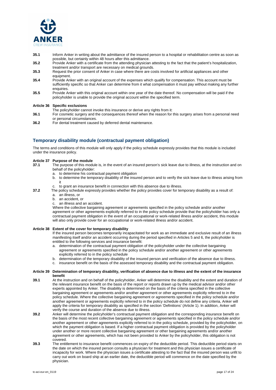

- **35.1** Inform Anker in writing about the admittance of the insured person to a hospital or rehabilitation centre as soon as possible, but certainly within 48 hours after this admittance.
- **35.2** Provide Anker with a certificate from the attending physician attesting to the fact that the patient's hospitalization, treatment and/or transport are necessary on medical grounds.
- **35.3** Request the prior consent of Anker in case where there are costs involved for artificial appliances and other equipment.
- **35.4** Provide Anker with an original account of the expenses which qualify for compensation. This account must be sufficiently specific so that Anker can determine from it what compensation it must pay without making any further enquiries.
- **35.5** Provide Anker with this original account within one year of the date thereof. No compensation will be paid if the policyholder is unable to provide the original account within the specified term.

#### **Article 36 Specific exclusions**

- The policyholder cannot invoke this insurance or derive any rights from it:
- **36.1** For cosmetic surgery and the consequences thereof when the reason for this surgery arises from a personal need or personal circumstances.
- **36.2** For dental treatment caused by deferred dental maintenance.

## **Temporary disability module (contractual payment obligation)**

The terms and conditions of this module will only apply if the policy schedule expressly provides that this module is included under the insurance policy.

#### **Article 37 Purpose of the module**

- **37.1** The purpose of this module is, in the event of an insured person's sick leave due to illness, at the instruction and on behalf of the policyholder:
	- a. to determine his contractual payment obligation
	- b. to determine the temporary disability of the insured person and to verify the sick leave due to illness arising from it
	- c. to grant an insurance benefit in connection with this absence due to illness.
- **37.2** The policy schedule expressly provides whether the policy provides cover for temporary disability as a result of:
	- a. an illness, or
	- b. an accident, or
	- c. an illness and an accident.

Where the collective bargaining agreement or agreements specified in the policy schedule and/or another agreement or other agreements explicitly referred to in the policy schedule provide that the policyholder has only a contractual payment obligation in the event of an occupational or work-related illness and/or accident, this module will also only provide cover for an occupational or work-related illness and/or accident.

#### **Article 38 Extent of the cover for temporary disability**

If the insured person becomes temporarily incapacitated for work as an immediate and exclusive result of an illness manifesting itself and/or an accident occurring during the period specified in Articles 5 and 6, the policyholder is entitled to the following services and insurance benefit:

- a. determination of the contractual payment obligation of the policyholder under the collective bargaining agreement or agreements specified in the policy schedule and/or another agreement or other agreements explicitly referred to in the policy schedule
- b. determination of the temporary disability of the insured person and verification of the absence due to illness.
- c. insurance benefit on the basis of the assessed temporary disability and the contractual payment obligation.

#### **Article 39 Determination of temporary disability, verification of absence due to illness and the extent of the insurance benefit**

- **39.1** At the instruction and on behalf of the policyholder, Anker will determine the disability and the extent and duration of the relevant insurance benefit on the basis of the report or reports drawn up by the medical advisor and/or other experts appointed by Anker. The disability is determined on the basis of the criteria specified in the collective bargaining agreement or agreements and/or another agreement or other agreements explicitly referred to in the policy schedule. Where the collective bargaining agreement or agreements specified in the policy schedule and/or another agreement or agreements explicitly referred to in the policy schedule do not define any criteria, Anker will apply the criteria for temporary disability as specified in the section 'Definitions' (Article 1). In addition, Anker will verify the course and duration of the absence due to illness.
- **39.2** Anker will determine the policyholder's contractual payment obligation and the corresponding insurance benefit on the basis of the most recent collective bargaining agreement or agreements specified in the policy schedule and/or another agreement or other agreements explicitly referred to in the policy schedule, provided by the policyholder, on which the payment obligation is based. If a higher contractual payment obligation is provided by the policyholder under another or more recent collective bargaining agreement or other bargaining agreements and/or another agreement or other agreements, which has not been provided to Anker by the policyholder, this obligation is not covered.
- **39.3** The entitlement to insurance benefit commences on expiry of the deductible period. This deductible period starts on the date on which the insured person consults a physician for treatment and this physician issues a certificate of incapacity for work. Where the physician issues a certificate attesting to the fact that the insured person was unfit to carry out work on board ship at an earlier date, the deductible period will commence on the date specified by the physician.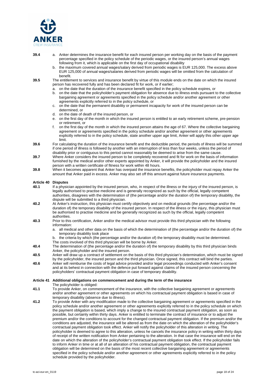

- **39.4** a. Anker determines the insurance benefit for each insured person per working day on the basis of the payment percentage specified in the policy schedule of the periodic wages, or the insured person's annual wages following from it, which is applicable on the first day of occupational disability
	- b. the maximum covered annual wages/salary derived from periodic wages is EUR 125,000. The excess above EUR 125,000 of annual wages/salaries derived from periodic wages will be omitted from the calculation of benefit.
- **39.5** The entitlement to services and insurance benefit by virtue of this module ends on the date on which the insured person has recovered fully and has been declared fit for work, or if earlier;
	- a. on the date that the duration of the insurance benefit specified in the policy schedule expires, or
	- b. on the date that the policyholder's payment obligation for absence due to illness ends pursuant to the collective bargaining agreement or agreements specified in the policy schedule and/or another agreement or other agreements explicitly referred to in the policy schedule, or
	- c. on the date that the permanent disability or permanent incapacity for work of the insured person can be determined, or
	- d. on the date of death of the insured person, or
	- e. on the first day of the month in which the insured person is entitled to an early retirement scheme, pre-pension or retirement, or
	- on the first day of the month in which the insured person attains the age of 67. Where the collective bargaining agreement or agreements specified in the policy schedule and/or another agreement or other agreements explicitly referred to in the policy schedule, state another upper age limit, Anker will apply this other upper age limit.
- **39.6** For calculating the duration of the insurance benefit and the deductible period, the periods of illness will be summed if one period of illness is followed by another with an interruption of less than four weeks, unless the period of disability prior or contiguous to this period cannot reasonably be deemed to arise from the same cause.
- **39.7** Where Anker considers the insured person to be completely recovered and fit for work on the basis of information furnished by the medical and/or other experts appointed by Anker, it will provide the policyholder and the insured person with a written certificate of fitness for work within 48 hours.
- **39.8** When it becomes apparent that Anker has overpaid the insurance benefits, the policyholder must repay Anker the amount that Anker paid in excess. Anker may also set off this amount against future insurance payments.

#### **Article 40 Disputes**

- **40.1** If a physician appointed by the insured person, who, in respect of the illness or the injury of the insured person, is legally authorised to practise medicine and is generally recognized as such by the official, legally competent authorities, disagrees with the determination of (the percentage and/or the duration of) the temporary disability, the dispute will be submitted to a third physician.
- **40.2** At Anker's instruction, this physician must certify objectively and on medical grounds (the percentage and/or the duration of) the temporary disability of the insured person. In respect of the illness or the injury, this physician must be authorised to practise medicine and be generally recognized as such by the official, legally competent authorities.
- **40.3** Prior to this certification, Anker and/or the medical advisor must provide this third physician with the following information:
	- a. all medical and other data on the basis of which the determination of (the percentage and/or the duration of) the temporary disability took place
	- the criteria by which (the percentage and/or the duration of) the temporary disability must be determined. The costs involved of this third physician will be borne by Anker.
- **40.4** The determination of (the percentage and/or the duration of) the temporary disability by this third physician binds Anker, the policyholder and the insured person.
- **40.5** Anker will draw up a contract of settlement on the basis of this third physician's determination, which must be signed by the policyholder, the insured person and the third physician. Once signed, this contract will bind the parties. **40.6** Anker will reimburse the costs of legal advice provided and/or legal proceedings conducted with Anker's consent
- and at its behest in connection with the defence put forward against claims of the insured person concerning the policyholders' contractual payment obligation in case of temporary disability.

#### **Article 41 Additional obligations on commencement and during the term of the insurance**

The policyholder is obliged:

- **41.1** To provide Anker, on commencement of the insurance, with the collective bargaining agreement or agreements and/or another agreement or other agreements on which his contractual payment obligation is based in case of temporary disability (absence due to illness).
- **41.2** To provide Anker with any modification made to the collective bargaining agreement or agreements specified in the policy schedule and/or another agreement or other agreements explicitly referred to in the policy schedule on which the payment obligation is based, which imply a change to the insured contractual payment obligation, as soon as possible, but certainly within thirty days. Anker is entitled to terminate the contract of insurance or to adjust the premium and/or the conditions to account for the changed contractual payment obligation. If the premium and/or the conditions are adjusted, the insurance will be altered as from the date on which the alteration of the policyholder's contractual payment obligation took effect. Anker will notify the policyholder of this alteration in writing. The policyholder is deemed to agree to this alteration, unless he cancels the insurance policy in writing within thirty days of receipt of the written notification from Anker pertaining to the alteration. In that case the insurance will end on the date on which the alteration of the policyholder's contractual payment obligation took effect. If the policyholder fails to inform Anker in time or at all of an alteration of his contractual payment obligation, the contractual payment obligation will be determined on the basis of the most recent collective bargaining agreement or agreements specified in the policy schedule and/or another agreement or other agreements explicitly referred to in the policy schedule provided by the policyholder.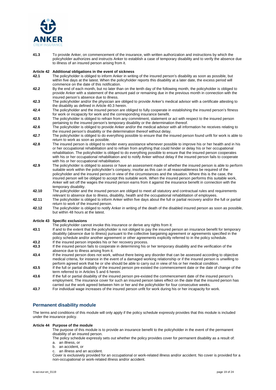

**41.3** To provide Anker, on commencement of the insurance, with written authorization and instructions by which the policyholder authorizes and instructs Anker to establish a case of temporary disability and to verify the absence due to illness of an insured person arising from it.

## **Article 42 Additional obligations in the event of sickness**

- **42.1** The policyholder is obliged to inform Anker in writing of the insured person's disability as soon as possible, but within five days at the latest. When the policyholder reports this disability at a later date, the excess period will commence on the date of this notification.
- **42.2** By the end of each month, but no later than on the tenth day of the following month, the policyholder is obliged to provide Anker with a statement of the amount paid or remaining due in the previous month in connection with the insured person's absence due to illness.
- **42.3** The policyholder and/or the physician are obliged to provide Anker's medical advisor with a certificate attesting to the disability as defined in Article 40.3 herein.
- **42.4** The policyholder and the insured person are obliged to fully cooperate in establishing the insured person's fitness for work or incapacity for work and the corresponding insurance benefit.
- **42.5** The policyholder is obliged to refrain from any commitment, statement or act with respect to the insured person pertaining to the insured person's temporary disability or the determination thereof.
- **42.6** The policyholder is obliged to provide Anker and/or the medical advisor with all information he receives relating to the insured person's disability or the determination thereof without delay.
- **42.7** The policyholder is obliged to do everything possible to ensure that the insured person found unfit for work is able to return to work as soon as possible.
- **42.8** The insured person is obliged to render every assistance whenever possible to improve his or her health and in his or her occupational rehabilitation and to refrain from anything that could hinder or delay his or her occupational rehabilitation. The policyholder is obliged to do everything possible to ensure that the insured person cooperates with his or her occupational rehabilitation and to notify Anker without delay if the insured person fails to cooperate with his or her occupational rehabilitation.
- **42.9** The policyholder is obliged to assess or have an assessment made of whether the insured person is able to perform suitable work within the policyholder's company, insofar as this can in all reasonableness be required of the policyholder and the insured person in view of the circumstances and the situation. Where this is the case, the insured person will be obliged to accept this suitable work. When the insured person performs this suitable work, Anker will set off the wages the insured person earns from it against the insurance benefit in connection with the temporary disability.
- **42.10** The policyholder and the insured person are obliged to meet all statutory and contractual rules and requirements relevant to absence due to illness, disability, health and the occupational rehabilitation of employees.
- **42.11** The policyholder is obliged to inform Anker within five days about the full or partial recovery and/or the full or partial return to work of the insured person.
- **42.12** The policyholder is obliged to notify Anker in writing of the death of the disabled insured person as soon as possible, but within 48 hours at the latest.

#### **Article 43 Specific exclusions**

- The policyholder cannot invoke this insurance or derive any rights from it:
- **43.1** If and to the extent that the policyholder is not obliged to pay the insured person an insurance benefit for temporary disability (absence due to illness) pursuant to the collective bargaining agreement or agreements specified in the policy schedule and/or another agreement or other agreements explicitly referred to in the policy schedule. **43.2** If the insured person impedes his or her recovery process.
- **43.3** If the insured person fails to cooperate in determining his or her temporary disability and the verification of the absence due to illness arising from it.
- **43.4** If the insured person does not work, without there being any disorder that can be assessed according to objective medical criteria, for instance in the event of a damaged working relationship or if the insured person is unwilling to perform agreed work that he or she should be able to carry out in view of his or her medical condition.
- **43.5** If the full or partial disability of the insured person pre-existed the commencement date or the date of change of the term referred to in Articles 5 and 6 herein.
- **43.6** If the full or partial disability of the insured person pre-existed the commencement date of the insured person's employment. The insurance cover for such an insured person takes effect on the date that the insured person has carried out the work agreed between him or her and the policyholder for four consecutive weeks.
- **43.7** For individual wage increases of the insured person unfit for work during his or her incapacity for work.

## **Permanent disability module**

The terms and conditions of this module will only apply if the policy schedule expressly provides that this module is included under the insurance policy.

#### **Article 44 Purpose of the module**

The purpose of this module is to provide an insurance benefit to the policyholder in the event of the permanent disability of an insured person.

The policy schedule expressly sets out whether the policy provides cover for permanent disability as a result of: a. an illness, or

- b. an accident, or
- c. an illness and an accident.

Cover is exclusively provided for an occupational or work-related illness and/or accident. No cover is provided for a non-occupational or work-related illness and/or accident.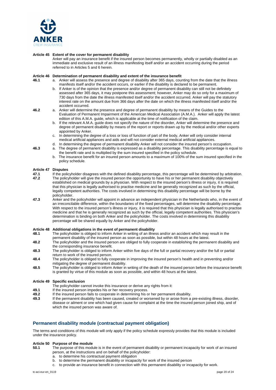

#### **Article 45 Extent of the cover for permanent disability**

Anker will pay an insurance benefit if the insured person becomes permanently, wholly or partially disabled as an immediate and exclusive result of an illness manifesting itself and/or an accident occurring during the period referred to in Articles 5 and 6 herein.

#### **Article 46 Determination of permanent disability and extent of the insurance benefit**

- **46.1** a. Anker will assess the presence and degree of disability after 365 days, counting from the date that the illness manifests itself and/or the accident occurs, or earlier if the disability is declared to be permanent.
	- b. If Anker is of the opinion that the presence and/or degree of permanent disability can still not be definitely assessed after 365 days, it may postpone this assessment; however, Anker may do so only for a maximum of 730 days from the date the illness manifested itself and/or the accident occurred. Anker will pay the statutory interest rate on the amount due from 366 days after the date on which the illness manifested itself and/or the accident occurred.
- **46.2** a. Anker will determine the presence and degree of permanent disability by means of the Guides to the Evaluation of Permanent Impairment of the American Medical Association (A.M.A.). Anker will apply the latest edition of this A.M.A. guide, which is applicable at the time of notification of the claim.
	- b. If the relevant A.M.A. guide does not specify the nature of the disorder, Anker will determine the presence and degree of permanent disability by means of the report or reports drawn up by the medical and/or other experts appointed by Anker.
	- c. In determining the degree of a loss or loss of function of part of the body, Anker will only consider internal medical artificial appliances and aids and will not consider external medical artificial appliances.
	- d. In determining the degree of permanent disability Anker will not consider the insured person's occupation.
- **46.3** a. The degree of permanent disability is expressed as a disability percentage. This disability percentage is equal to the benefit rate and is multiplied by the sum insured specified in the policy schedule.
	- b. The insurance benefit for an insured person amounts to a maximum of 100% of the sum insured specified in the policy schedule.

# **Article 47 Disputes**

- **47.1** If the policyholder disagrees with the defined disability percentage, this percentage will be determined by arbitration.<br>**47.2** The policyholder will give the insured person the opportunity to have his or her perman **47.2** The policyholder will give the insured person the opportunity to have his or her permanent disability objectively established on medical grounds by a physician. With respect to the insured person's illness or injury, it is required that this physician is legally authorised to practise medicine and be generally recognized as such by the official, legally competent authorities. The costs involved in determining this disability percentage will be borne by the policyholder.
- **47.3** Anker and the policyholder will appoint in advance an independent physician in the Netherlands who, in the event of an irreconcilable difference, within the boundaries of the fixed percentages, will determine the disability percentage. With respect to the insured person's illness or injury, it is required that this physician is legally authorised to practise medicine and that he is generally recognized as such by the official, legally competent authorities. This physician's determination is binding on both Anker and the policyholder. The costs involved in determining this disability percentage will be shared equally by Anker and the policyholder.

#### **Article 48 Additional obligations in the event of permanent disability**

- **48.1** The policyholder is obliged to inform Anker in writing of an illness and/or an accident which may result in the permanent disability of the insured person as soon as possible, but within 48 hours at the latest.
- **48.2** The policyholder and the insured person are obliged to fully cooperate in establishing the permanent disability and the corresponding insurance benefit.
- **48.3** The policyholder is obliged to inform Anker within five days of the full or partial recovery and/or the full or partial return to work of the insured person.
- **48.4** The policyholder is obliged to fully cooperate in improving the insured person's health and in preventing and/or mitigating the degree of permanent disability.
- **48.5** The policyholder is obliged to inform Anker in writing of the death of the insured person before the insurance benefit is granted by virtue of this module as soon as possible, and within 48 hours at the latest.

#### **Article 49 Specific exclusion**

- The policyholder cannot invoke this insurance or derive any rights from it:
- **49.1** If the insured person impedes his or her recovery process.<br>**49.2** If the insured person fails to cooperate in determining his c
- **49.2** If the insured person fails to cooperate in determining his or her permanent disability.
- **49.3** If the permanent disability has been caused, created or worsened by or arose from a pre-existing illness, disorder, disease or ailment or one which had given cause for complaint at the time the insured person joined ship, and of which the insured person was aware of.

### **Permanent disability module (contractual payment obligation)**

The terms and conditions of this module will only apply if the policy schedule expressly provides that this module is included under the insurance policy.

## **Article 50 Purpose of the module**

- **50.1** The purpose of this module is in the event of permanent disability or permanent incapacity for work of an insured person, at the instructions and on behalf of the policyholder:
	- a. to determine his contractual payment obligation
	- b. to determine the permanent disability or incapacity for work of the insured person
	- c. to provide an insurance benefit in connection with this permanent disability or incapacity for work.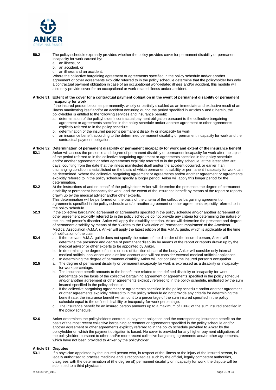

**50.2** The policy schedule expressly provides whether the policy provides cover for permanent disability or permanent incapacity for work caused by:

- a. an illness, or
- b. an accident, or
- c. an illness and an accident.

Where the collective bargaining agreement or agreements specified in the policy schedule and/or another agreement or other agreements explicitly referred to in the policy schedule determine that the policyholder has only a contractual payment obligation in case of an occupational work-related illness and/or accident, this module will also only provide cover for an occupational or work-related illness and/or accident.

#### **Article 51 Extent of the cover for a contractual payment obligation in the event of permanent disability or permanent incapacity for work**

If the insured person becomes permanently, wholly or partially disabled as an immediate and exclusive result of an illness manifesting itself and/or an accident occurring during the period specified in Articles 5 and 6 herein, the policyholder is entitled to the following services and insurance benefit:

- a. determination of the policyholder's contractual payment obligation pursuant to the collective bargaining agreement or agreements specified in the policy schedule and/or another agreement or other agreements explicitly referred to in the policy schedule
- b. determination of the insured person's permanent disability or incapacity for work
- c. an insurance benefit according to the determined permanent disability or permanent incapacity for work and the contractual payment obligation.

## **Article 52 Determination of permanent disability or permanent incapacity for work and extent of the insurance benefit**

- **52.1** Anker will assess the presence and degree of permanent disability or permanent incapacity for work after the lapse of the period referred to in the collective bargaining agreement or agreements specified in the policy schedule and/or another agreement or other agreements explicitly referred to in the policy schedule, at the latest after 365 days, counting from the date that the illness manifested itself and/or the accident occurred, or earlier if an unchanging condition is established on the basis of which permanent disability or permanent incapacity for work can be determined. Where the collective bargaining agreement or agreements and/or another agreement or agreements explicitly referred to in the policy schedule specify a longer period, Anker will apply this longer period for the determination.
- **52.2** At the instructions of and on behalf of the policyholder Anker will determine the presence, the degree of permanent disability or permanent incapacity for work, and the extent of the insurance benefit by means of the report or reports drawn up by the medical advisor and/or other experts. This determination will be performed on the basis of the criteria of the collective bargaining agreement or agreements specified in the policy schedule and/or another agreement or other agreements explicitly referred to in the policy schedule.
- **52.3** If the collective bargaining agreement or agreements specified in the policy schedule and/or another agreement or other agreement explicitly referred to in the policy schedule do not provide any criteria for determining the nature of the insured person's disorder, Anker will apply the disability criterion. Anker will determine the presence and degree of permanent disability by means of the 'Guides to the Evaluation of Permanent Impairment' of the American Medical Association (A.M.A.). Anker will apply the latest edition of this A.M.A. guide, which is applicable at the time of notification of the claim.
- **52.4** a. If the relevant A.M.A. guide does not specify the nature of the disorder of the insured person, Anker will determine the presence and degree of permanent disability by means of the report or reports drawn up by the medical advisor or other experts to be appointed by Anker.
	- b. In determining the degree of a loss or loss of function of part of the body, Anker will consider only internal medical artificial appliances and aids into account and will not consider external medical artificial appliances. c. In determining the degree of permanent disability Anker will not consider the insured person's occupation.
- **52.5** a. The degree of permanent disability or permanent incapacity for work is expressed as a disability or incapacity
	- for-work percentage.
		- b. The insurance benefit amounts to the benefit rate related to the defined disability or incapacity-for-work percentage on the basis of the collective bargaining agreement or agreements specified in the policy schedule and/or another agreement or other agreements explicitly referred to in the policy schedule, multiplied by the sum insured specified in the policy schedule.
	- c. If the collective bargaining agreement or agreements specified in the policy schedule and/or another agreement or other agreements explicitly referred to in the policy schedule do not provide any criteria for determining the benefit rate, the insurance benefit will amount to a percentage of the sum insured specified in the policy schedule equal to the defined disability or incapacity-for-work percentage.
	- d. The insurance benefit for an insured person amounts up to a maximum of 100% of the sum insured specified in the policy schedule.
- **52.6** Anker determines the policyholder's contractual payment obligation and the corresponding insurance benefit on the basis of the most recent collective bargaining agreement or agreements specified in the policy schedule and/or another agreement or other agreements explicitly referred to in the policy schedule provided to Anker by the policyholder on which the payment obligation is based. No cover is provided for any higher payment obligations of the policyholder, pursuant to other and/or more recent collective bargaining agreements and/or other agreements, which have not been provided to Anker by the policyholder.

#### **Article 53 Disputes**

**53.1** If a physician appointed by the insured person who, in respect of the illness or the injury of the insured person, is legally authorised to practise medicine and is recognized as such by the official, legally competent authorities, disagrees with the determination of (the degree of) permanent disability or incapacity for work, the dispute will be submitted to a third physician.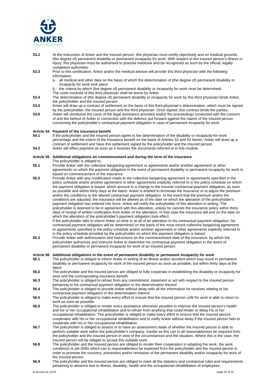

- **53.2** At the instruction of Anker and the insured person, this physician must certify objectively and on medical grounds (the degree of) permanent disability or permanent incapacity for work. With respect to the insured person's illness or injury, this physician must be authorised to practise medicine and be recognized as such by the official, legally competent authorities.
- **53.3** Prior to this certification, Anker and/or the medical advisor will provide this third physician with the following information:
	- a. all medical and other data on the basis of which the determination of (the degree of) permanent disability or incapacity for work took place
	- b. the criteria by which (the degree of) permanent disability or incapacity for work must be determined. The costs involved of this third physician shall be borne by Anker.
- **53.4** The determination of (the degree of) permanent disability or incapacity for work by this third physician binds Anker, the policyholder and the insured person.
- **53.5** Anker will draw up a contract of settlement on the basis of this third physician's determination, which must be signed by the policyholder, the insured person and the third physician. Once signed, this contract binds the parties.
- **53.6** Anker will reimburse the costs of the legal assistance provided and/or the proceedings conducted with the consent of and the behest of Anker in connection with the defence put forward against the claims of the insured person concerning the policyholder's contractual payment obligation in case of permanent incapacity for work.

#### **Article 54 Payment of the insurance benefit**

- **54.1** If the policyholder and the insured person agree to the determination of the disability or incapacity-for-work percentage and the extent of the insurance benefit on the basis of Articles 53 and 54 herein, Anker will draw up a contract of settlement and have this settlement signed by the policyholder and the insured person. **54.2** Anker will effect payment as soon as it receives the documents referred to in this module.
- 

#### **Article 55 Additional obligations on commencement and during the term of the insurance**

The policyholder is obliged to:

- **55.1** Provide Anker with the collective bargaining agreement or agreements and/or another agreement or other agreements on which the payment obligation in the event of permanent disability or permanent incapacity for work is based on commencement of the insurance.
- **55.2** Provide Anker with any modification made to the collective bargaining agreement or agreements specified in the policy schedule and/or another agreement or other agreements explicitly referred to in the policy schedule on which the payment obligation is based, which amount to a change to the insured contractual payment obligation, as soon as possible and within thirty days at the latest. Anker is entitled to terminate the insurance or to adjust the premium and/or the conditions to the altered contractual payment obligation. In the event that the premium and/or the conditions are adjusted, the insurance will be altered as of the date on which the alteration of the policyholder's payment obligation has entered into force. Anker will notify the policyholder of this alteration in writing. The policyholder is deemed to be in agreement with this alteration, unless he cancels the insurance policy within thirty days of receipt of written notification from Anker of the alteration. In that case the insurance will end on the date on which the alteration of the policyholder's payment obligation took effect. If the policyholder fails to inform Anker on time or at all of an alteration to his contractual payment obligation, his

contractual payment obligation will be determined on the basis of the most recent collective bargaining agreement or agreements specified in the policy schedule and/or another agreement or other agreements explicitly referred to in the policy schedule provided by the policyholder on which this payment obligation is based.

**55.3** Provide Anker with authorization and instructions on the commencement date of the insurance, by which the policyholder authorizes and instructs Anker to determine his contractual payment obligation in the event of permanent disability or permanent incapacity for work of an insured person.

#### **Article 56 Additional obligations in the event of permanent disability or permanent incapacity for work**

- **56.1** The policyholder is obliged to inform Anker in writing of an illness and/or accident which may result in permanent disability or permanent incapacity for work of the insured person as soon as possible, but within thirty days at the latest.
- **56.2** The policyholder and the insured person are obliged to fully cooperate in establishing the disability or incapacity for work and the corresponding insurance benefit.
- **56.3** The policyholder is obliged to refrain from any commitment, statement or act with respect to the insured person pertaining to his contractual payment obligation or the determination thereof.
- **56.4** The policyholder is obliged to provide Anker without delay with all the information he receives relating to his contractual payment obligation or the determination thereof.
- **56.5** The policyholder is obliged to make every effort to ensure that the insured person unfit for work is able to return to work as soon as possible.
- **56.6** The policyholder is obliged to render every assistance whenever possible to improve the insured person's health and his or her occupational rehabilitation and to refrain from anything that could hinder or delay his or her occupational rehabilitation. The policyholder is obliged to make every effort to ensure that the insured person cooperates with his or her occupational rehabilitation and to notify Anker without delay if the insured person fails to cooperate with his or her occupational rehabilitation.
- **56.7** The policyholder is obliged to assess or to have an assessment made of whether the insured person is able to perform suitable work within the policyholder's company, insofar as this can in all reasonableness be required from the policyholder and the insured person in view of the circumstances and the situation. Where this is the case, the insured person will be obliged to accept this suitable work.
- **56.8** The policyholder and the insured person are obliged to render their cooperation in adapting the work, the work conditions or job shifts which can in reasonableness be expected from the policyholder and the insured person in order to promote the recovery, prevention and/or remission of the permanent disability and/or incapacity for work of the insured person.
- **56.9** The policyholder and the insured person are obliged to meet all the statutory and contractual rules and requirements pertaining to absence due to illness, disability, health and the occupational rehabilitation of employees.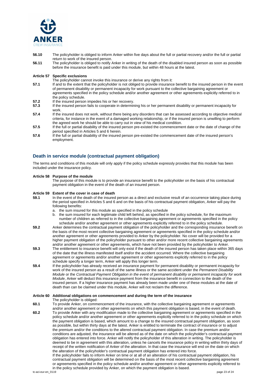

- **56.10** The policyholder is obliged to inform Anker within five days about the full or partial recovery and/or the full or partial return to work of the insured person.
- **56.11** The policyholder is obliged to notify Anker in writing of the death of the disabled insured person as soon as possible before the insurance benefit is paid under this module, but within 48 hours at the latest.

#### **Article 57 Specific exclusions**

- The policyholder cannot invoke this insurance or derive any rights from it:
- **57.1** If and to the extent that the policyholder is not obliged to provide insurance benefit to the insured person in the event of permanent disability or permanent incapacity for work pursuant to the collective bargaining agreement or agreements specified in the policy schedule and/or another agreement or other agreements explicitly referred to in the policy schedule.
- **57.2** If the insured person impedes his or her recovery.<br>**57.3** If the insured person fails to cooperate in determined
- **57.3** If the insured person fails to cooperate in determining his or her permanent disability or permanent incapacity for work.
- **57.4** If the insured does not work, without there being any disorders that can be assessed according to objective medical criteria, for instance in the event of a damaged working relationship, or if the insured person is unwilling to perform the agreed work he should be able to carry out in view of his medical condition.
- **57.5** If the full or partial disability of the insured person pre-existed the commencement date or the date of change of the period specified in Articles 5 and 6 herein.
- **57.6** If the full or partial disability of the insured person pre-existed the commencement date of the insured person's employment.

## **Death in service module (contractual payment obligation)**

The terms and conditions of this module will only apply if the policy schedule expressly provides that this module has been included under the insurance policy.

#### **Article 58 Purpose of the module**

The purpose of this module is to provide an insurance benefit to the policyholder on the basis of his contractual payment obligation in the event of the death of an insured person.

#### **Article 59 Extent of the cover in case of death**

- **59.1** In the event of the death of the insured person as a direct and exclusive result of an occurrence taking place during the period specified in Articles 5 and 6 and on the basis of his contractual payment obligation, Anker will pay the following benefits:
	- a. the sum insured for this module as specified in the policy schedule
	- b. the sum insured for each legitimate child left behind, as specified in the policy schedule, for the maximum number of children as referred to in the collective bargaining agreement or agreements specified in the policy schedule and/or another agreement or other agreements explicitly referred to in the policy schedule.
- **59.2** Anker determines the contractual payment obligation of the policyholder and the corresponding insurance benefit on the basis of the most recent collective bargaining agreement or agreements specified in the policy schedule and/or another agreement or other agreements provided to Anker by the policyholder. No cover will be provided for a higher payment obligation of the policyholder pursuant to other and/or more recent collective bargaining agreements and/or another agreement or other agreements, which have not been provided by the policyholder to Anker.
- **59.3** The entitlement to insurance benefit will only exist if the death of the insured person has taken place within 365 days of the date that the illness manifested itself and/or the accident occurred. Where the collective bargaining agreement or agreements and/or another agreement or other agreements explicitly referred to in the policy schedule specify a longer term, Anker will apply this longer term.
- **59.4** If the policyholder has already received an insurance payment for permanent disability or permanent incapacity for work of the insured person as a result of the same illness or the same accident under the *Permanent Disability Module* or the *Contractual Payment Obligation in the event of permanent disability or permanent incapacity for work Module*, Anker will deduct this insurance payment from the insurance benefit in connection to the death of the insured person. If a higher insurance payment has already been made under one of these modules at the date of death than can be claimed under this module, Anker will not reclaim the difference.

#### **Article 60 Additional obligations on commencement and during the term of the insurance**

The policyholder is obliged: **60.1** To provide Anker, on commencement of the insurance, with the collective bargaining agreement or agreements and/or another agreement or other agreements on which this payment obligation is based, in the event of death. **60.2** To provide Anker with any modification made to the collective bargaining agreement or agreements specified in the policy schedule and/or another agreement or other agreements explicitly referred to in the policy schedule on which the payment obligation is based, which amount to a change to the insured contractual payment obligation, as soon as possible, but within thirty days at the latest. Anker is entitled to terminate the contract of insurance or to adjust the premium and/or the conditions to the altered contractual payment obligation. In case the premium and/or conditions are adjusted, the insurance will be altered as of the date on which the policyholder's contractual payment obligation has entered into force. Anker will notify the policyholder of this alteration in writing. The policyholder is deemed to be in agreement with this alteration, unless he cancels the insurance policy in writing within thirty days of receipt of the written notification of Anker of the alteration. In that case the insurance will end on the date on which

the alteration of the policyholder's contractual payment obligation has entered into force. If the policyholder fails to inform Anker on time or at all of an alteration of his contractual payment obligation, his contractual payment obligation will be determined on the basis of the most recent collective bargaining agreement or agreements specified in the policy schedule and/or another agreement or other agreements explicitly referred to in the policy schedule provided by Anker, on which the payment obligation is based.